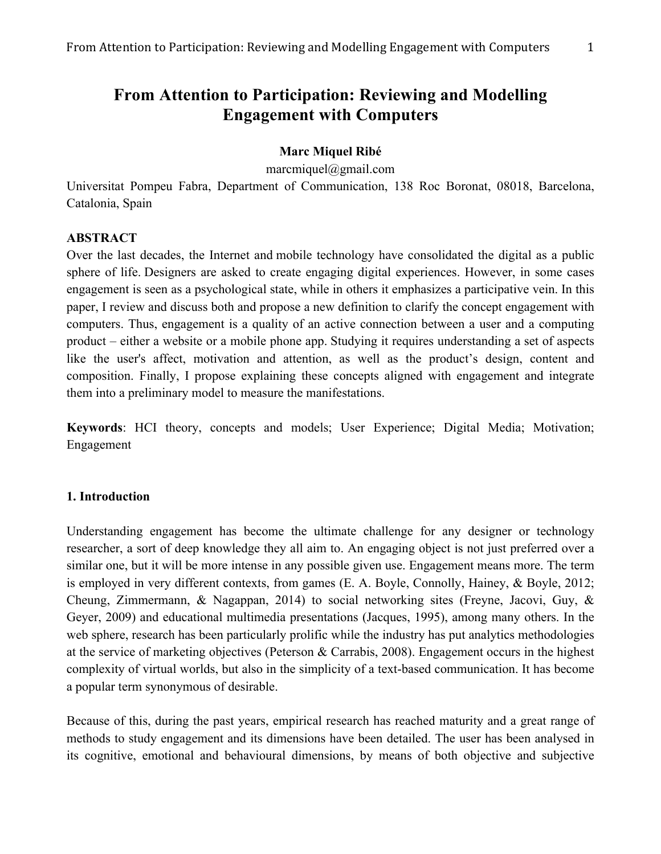# **From Attention to Participation: Reviewing and Modelling Engagement with Computers**

## **Marc Miquel Ribé**

marcmiquel@gmail.com

Universitat Pompeu Fabra, Department of Communication, 138 Roc Boronat, 08018, Barcelona, Catalonia, Spain

## **ABSTRACT**

Over the last decades, the Internet and mobile technology have consolidated the digital as a public sphere of life. Designers are asked to create engaging digital experiences. However, in some cases engagement is seen as a psychological state, while in others it emphasizes a participative vein. In this paper, I review and discuss both and propose a new definition to clarify the concept engagement with computers. Thus, engagement is a quality of an active connection between a user and a computing product – either a website or a mobile phone app. Studying it requires understanding a set of aspects like the user's affect, motivation and attention, as well as the product's design, content and composition. Finally, I propose explaining these concepts aligned with engagement and integrate them into a preliminary model to measure the manifestations.

**Keywords**: HCI theory, concepts and models; User Experience; Digital Media; Motivation; Engagement

#### **1. Introduction**

Understanding engagement has become the ultimate challenge for any designer or technology researcher, a sort of deep knowledge they all aim to. An engaging object is not just preferred over a similar one, but it will be more intense in any possible given use. Engagement means more. The term is employed in very different contexts, from games (E. A. Boyle, Connolly, Hainey, & Boyle, 2012; Cheung, Zimmermann, & Nagappan, 2014) to social networking sites (Freyne, Jacovi, Guy, & Geyer, 2009) and educational multimedia presentations (Jacques, 1995), among many others. In the web sphere, research has been particularly prolific while the industry has put analytics methodologies at the service of marketing objectives (Peterson & Carrabis, 2008). Engagement occurs in the highest complexity of virtual worlds, but also in the simplicity of a text-based communication. It has become a popular term synonymous of desirable.

Because of this, during the past years, empirical research has reached maturity and a great range of methods to study engagement and its dimensions have been detailed. The user has been analysed in its cognitive, emotional and behavioural dimensions, by means of both objective and subjective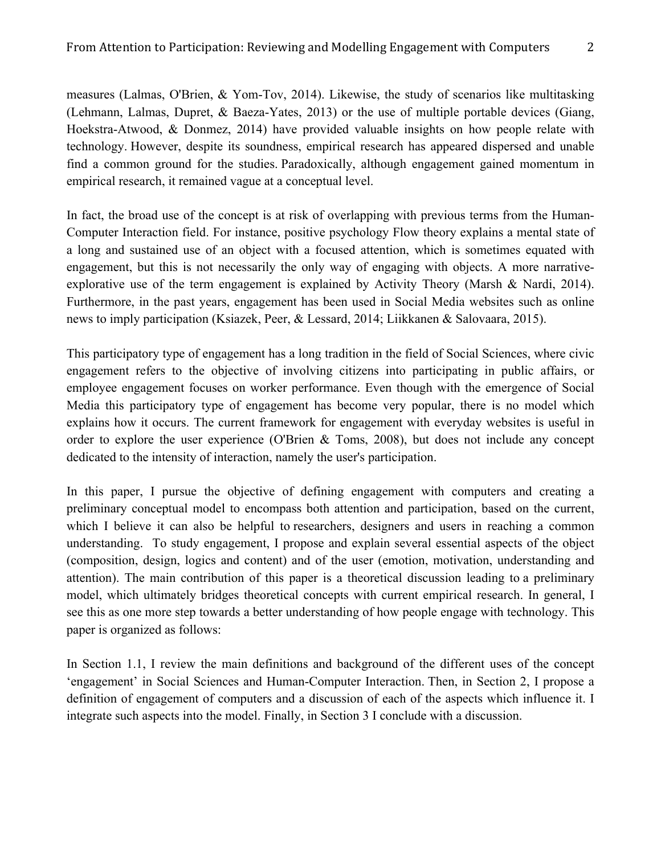measures (Lalmas, O'Brien, & Yom-Tov, 2014). Likewise, the study of scenarios like multitasking (Lehmann, Lalmas, Dupret, & Baeza-Yates, 2013) or the use of multiple portable devices (Giang, Hoekstra-Atwood, & Donmez, 2014) have provided valuable insights on how people relate with technology. However, despite its soundness, empirical research has appeared dispersed and unable find a common ground for the studies. Paradoxically, although engagement gained momentum in empirical research, it remained vague at a conceptual level.

In fact, the broad use of the concept is at risk of overlapping with previous terms from the Human-Computer Interaction field. For instance, positive psychology Flow theory explains a mental state of a long and sustained use of an object with a focused attention, which is sometimes equated with engagement, but this is not necessarily the only way of engaging with objects. A more narrativeexplorative use of the term engagement is explained by Activity Theory (Marsh & Nardi, 2014). Furthermore, in the past years, engagement has been used in Social Media websites such as online news to imply participation (Ksiazek, Peer, & Lessard, 2014; Liikkanen & Salovaara, 2015).

This participatory type of engagement has a long tradition in the field of Social Sciences, where civic engagement refers to the objective of involving citizens into participating in public affairs, or employee engagement focuses on worker performance. Even though with the emergence of Social Media this participatory type of engagement has become very popular, there is no model which explains how it occurs. The current framework for engagement with everyday websites is useful in order to explore the user experience (O'Brien & Toms, 2008), but does not include any concept dedicated to the intensity of interaction, namely the user's participation.

In this paper, I pursue the objective of defining engagement with computers and creating a preliminary conceptual model to encompass both attention and participation, based on the current, which I believe it can also be helpful to researchers, designers and users in reaching a common understanding. To study engagement, I propose and explain several essential aspects of the object (composition, design, logics and content) and of the user (emotion, motivation, understanding and attention). The main contribution of this paper is a theoretical discussion leading to a preliminary model, which ultimately bridges theoretical concepts with current empirical research. In general, I see this as one more step towards a better understanding of how people engage with technology. This paper is organized as follows:

In Section 1.1, I review the main definitions and background of the different uses of the concept 'engagement' in Social Sciences and Human-Computer Interaction. Then, in Section 2, I propose a definition of engagement of computers and a discussion of each of the aspects which influence it. I integrate such aspects into the model. Finally, in Section 3 I conclude with a discussion.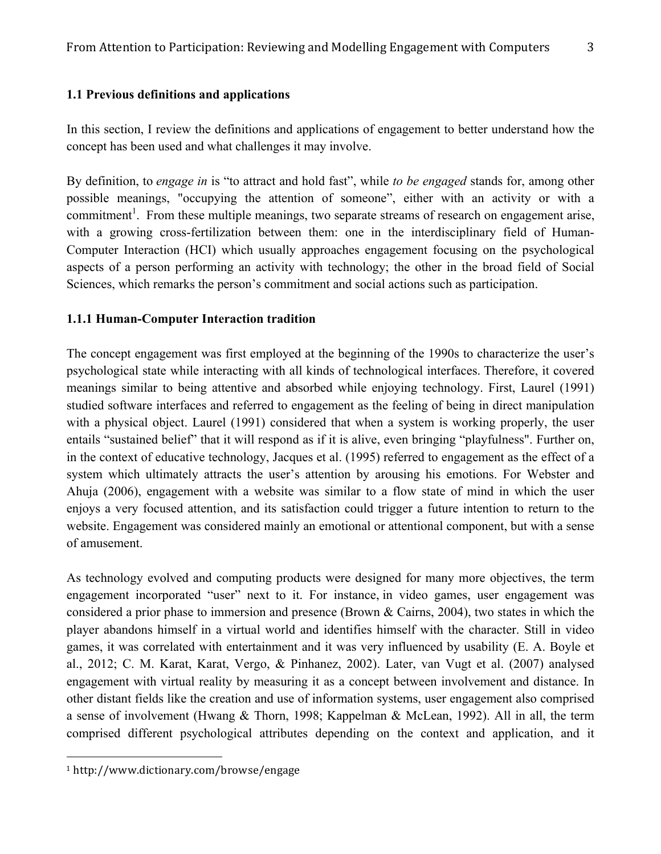# **1.1 Previous definitions and applications**

In this section, I review the definitions and applications of engagement to better understand how the concept has been used and what challenges it may involve.

By definition, to *engage in* is "to attract and hold fast", while *to be engaged* stands for, among other possible meanings, "occupying the attention of someone", either with an activity or with a commitment<sup>1</sup>. From these multiple meanings, two separate streams of research on engagement arise, with a growing cross-fertilization between them: one in the interdisciplinary field of Human-Computer Interaction (HCI) which usually approaches engagement focusing on the psychological aspects of a person performing an activity with technology; the other in the broad field of Social Sciences, which remarks the person's commitment and social actions such as participation.

# **1.1.1 Human-Computer Interaction tradition**

The concept engagement was first employed at the beginning of the 1990s to characterize the user's psychological state while interacting with all kinds of technological interfaces. Therefore, it covered meanings similar to being attentive and absorbed while enjoying technology. First, Laurel (1991) studied software interfaces and referred to engagement as the feeling of being in direct manipulation with a physical object. Laurel (1991) considered that when a system is working properly, the user entails "sustained belief" that it will respond as if it is alive, even bringing "playfulness". Further on, in the context of educative technology, Jacques et al. (1995) referred to engagement as the effect of a system which ultimately attracts the user's attention by arousing his emotions. For Webster and Ahuja (2006), engagement with a website was similar to a flow state of mind in which the user enjoys a very focused attention, and its satisfaction could trigger a future intention to return to the website. Engagement was considered mainly an emotional or attentional component, but with a sense of amusement.

As technology evolved and computing products were designed for many more objectives, the term engagement incorporated "user" next to it. For instance, in video games, user engagement was considered a prior phase to immersion and presence (Brown & Cairns, 2004), two states in which the player abandons himself in a virtual world and identifies himself with the character. Still in video games, it was correlated with entertainment and it was very influenced by usability (E. A. Boyle et al., 2012; C. M. Karat, Karat, Vergo, & Pinhanez, 2002). Later, van Vugt et al. (2007) analysed engagement with virtual reality by measuring it as a concept between involvement and distance. In other distant fields like the creation and use of information systems, user engagement also comprised a sense of involvement (Hwang & Thorn, 1998; Kappelman & McLean, 1992). All in all, the term comprised different psychological attributes depending on the context and application, and it

 

<sup>1</sup> http://www.dictionary.com/browse/engage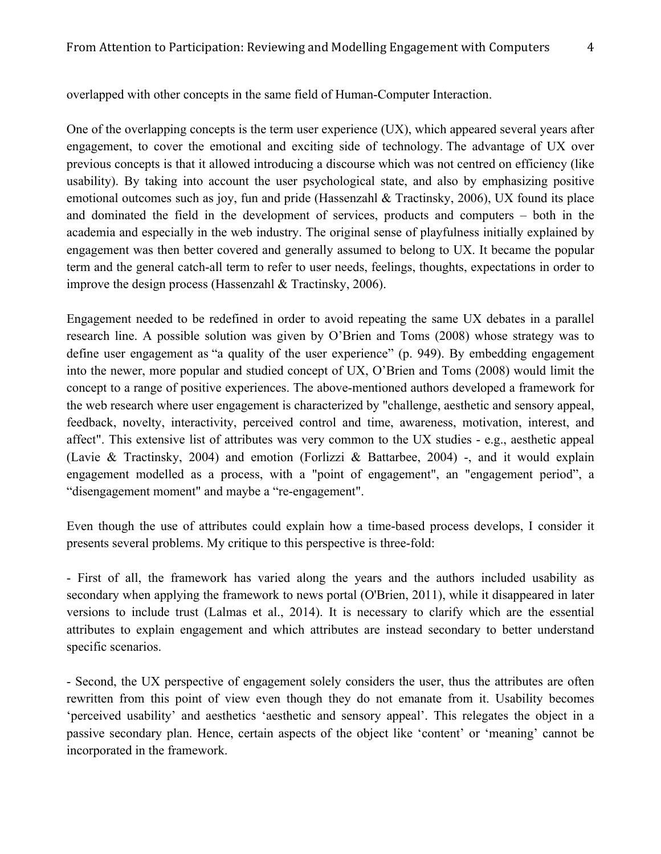One of the overlapping concepts is the term user experience (UX), which appeared several years after engagement, to cover the emotional and exciting side of technology. The advantage of UX over previous concepts is that it allowed introducing a discourse which was not centred on efficiency (like usability). By taking into account the user psychological state, and also by emphasizing positive emotional outcomes such as joy, fun and pride (Hassenzahl & Tractinsky, 2006), UX found its place and dominated the field in the development of services, products and computers – both in the academia and especially in the web industry. The original sense of playfulness initially explained by engagement was then better covered and generally assumed to belong to UX. It became the popular term and the general catch-all term to refer to user needs, feelings, thoughts, expectations in order to improve the design process (Hassenzahl & Tractinsky, 2006).

Engagement needed to be redefined in order to avoid repeating the same UX debates in a parallel research line. A possible solution was given by O'Brien and Toms (2008) whose strategy was to define user engagement as "a quality of the user experience" (p. 949). By embedding engagement into the newer, more popular and studied concept of UX, O'Brien and Toms (2008) would limit the concept to a range of positive experiences. The above-mentioned authors developed a framework for the web research where user engagement is characterized by "challenge, aesthetic and sensory appeal, feedback, novelty, interactivity, perceived control and time, awareness, motivation, interest, and affect". This extensive list of attributes was very common to the UX studies - e.g., aesthetic appeal (Lavie & Tractinsky, 2004) and emotion (Forlizzi & Battarbee, 2004) -, and it would explain engagement modelled as a process, with a "point of engagement", an "engagement period", a "disengagement moment" and maybe a "re-engagement".

Even though the use of attributes could explain how a time-based process develops, I consider it presents several problems. My critique to this perspective is three-fold:

- First of all, the framework has varied along the years and the authors included usability as secondary when applying the framework to news portal (O'Brien, 2011), while it disappeared in later versions to include trust (Lalmas et al., 2014). It is necessary to clarify which are the essential attributes to explain engagement and which attributes are instead secondary to better understand specific scenarios.

- Second, the UX perspective of engagement solely considers the user, thus the attributes are often rewritten from this point of view even though they do not emanate from it. Usability becomes 'perceived usability' and aesthetics 'aesthetic and sensory appeal'. This relegates the object in a passive secondary plan. Hence, certain aspects of the object like 'content' or 'meaning' cannot be incorporated in the framework.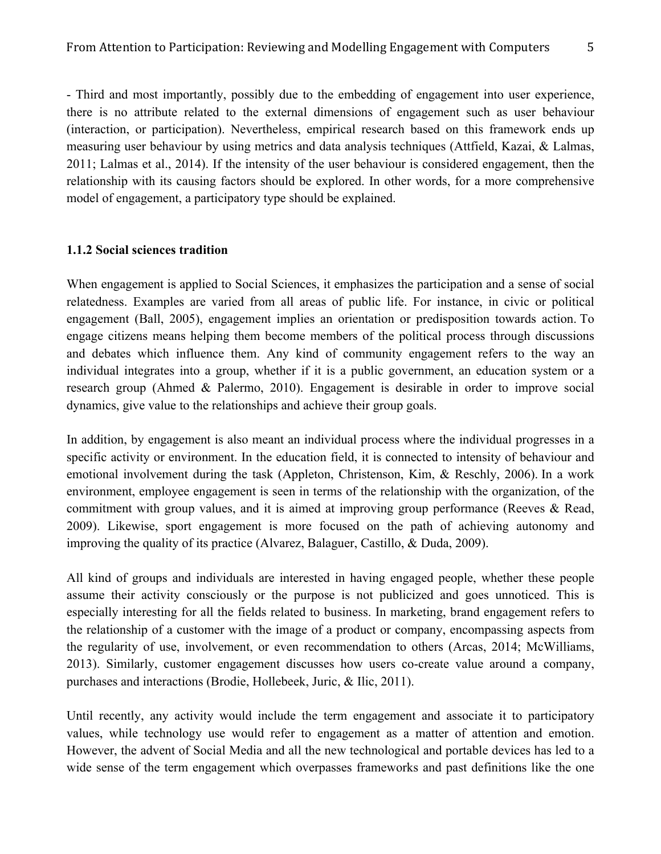- Third and most importantly, possibly due to the embedding of engagement into user experience, there is no attribute related to the external dimensions of engagement such as user behaviour (interaction, or participation). Nevertheless, empirical research based on this framework ends up measuring user behaviour by using metrics and data analysis techniques (Attfield, Kazai, & Lalmas, 2011; Lalmas et al., 2014). If the intensity of the user behaviour is considered engagement, then the relationship with its causing factors should be explored. In other words, for a more comprehensive model of engagement, a participatory type should be explained.

#### **1.1.2 Social sciences tradition**

When engagement is applied to Social Sciences, it emphasizes the participation and a sense of social relatedness. Examples are varied from all areas of public life. For instance, in civic or political engagement (Ball, 2005), engagement implies an orientation or predisposition towards action. To engage citizens means helping them become members of the political process through discussions and debates which influence them. Any kind of community engagement refers to the way an individual integrates into a group, whether if it is a public government, an education system or a research group (Ahmed & Palermo, 2010). Engagement is desirable in order to improve social dynamics, give value to the relationships and achieve their group goals.

In addition, by engagement is also meant an individual process where the individual progresses in a specific activity or environment. In the education field, it is connected to intensity of behaviour and emotional involvement during the task (Appleton, Christenson, Kim, & Reschly, 2006). In a work environment, employee engagement is seen in terms of the relationship with the organization, of the commitment with group values, and it is aimed at improving group performance (Reeves & Read, 2009). Likewise, sport engagement is more focused on the path of achieving autonomy and improving the quality of its practice (Alvarez, Balaguer, Castillo, & Duda, 2009).

All kind of groups and individuals are interested in having engaged people, whether these people assume their activity consciously or the purpose is not publicized and goes unnoticed. This is especially interesting for all the fields related to business. In marketing, brand engagement refers to the relationship of a customer with the image of a product or company, encompassing aspects from the regularity of use, involvement, or even recommendation to others (Arcas, 2014; McWilliams, 2013). Similarly, customer engagement discusses how users co-create value around a company, purchases and interactions (Brodie, Hollebeek, Juric, & Ilic, 2011).

Until recently, any activity would include the term engagement and associate it to participatory values, while technology use would refer to engagement as a matter of attention and emotion. However, the advent of Social Media and all the new technological and portable devices has led to a wide sense of the term engagement which overpasses frameworks and past definitions like the one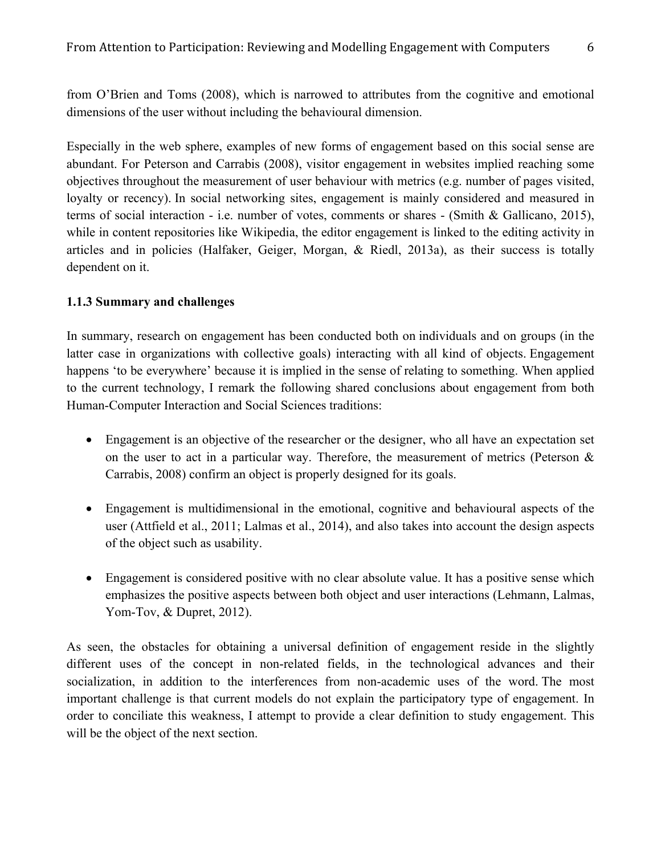from O'Brien and Toms (2008), which is narrowed to attributes from the cognitive and emotional dimensions of the user without including the behavioural dimension.

Especially in the web sphere, examples of new forms of engagement based on this social sense are abundant. For Peterson and Carrabis (2008), visitor engagement in websites implied reaching some objectives throughout the measurement of user behaviour with metrics (e.g. number of pages visited, loyalty or recency). In social networking sites, engagement is mainly considered and measured in terms of social interaction - i.e. number of votes, comments or shares - (Smith & Gallicano, 2015), while in content repositories like Wikipedia, the editor engagement is linked to the editing activity in articles and in policies (Halfaker, Geiger, Morgan, & Riedl, 2013a), as their success is totally dependent on it.

## **1.1.3 Summary and challenges**

In summary, research on engagement has been conducted both on individuals and on groups (in the latter case in organizations with collective goals) interacting with all kind of objects. Engagement happens 'to be everywhere' because it is implied in the sense of relating to something. When applied to the current technology, I remark the following shared conclusions about engagement from both Human-Computer Interaction and Social Sciences traditions:

- Engagement is an objective of the researcher or the designer, who all have an expectation set on the user to act in a particular way. Therefore, the measurement of metrics (Peterson  $\&$ Carrabis, 2008) confirm an object is properly designed for its goals.
- Engagement is multidimensional in the emotional, cognitive and behavioural aspects of the user (Attfield et al., 2011; Lalmas et al., 2014), and also takes into account the design aspects of the object such as usability.
- Engagement is considered positive with no clear absolute value. It has a positive sense which emphasizes the positive aspects between both object and user interactions (Lehmann, Lalmas, Yom-Tov, & Dupret, 2012).

As seen, the obstacles for obtaining a universal definition of engagement reside in the slightly different uses of the concept in non-related fields, in the technological advances and their socialization, in addition to the interferences from non-academic uses of the word. The most important challenge is that current models do not explain the participatory type of engagement. In order to conciliate this weakness, I attempt to provide a clear definition to study engagement. This will be the object of the next section.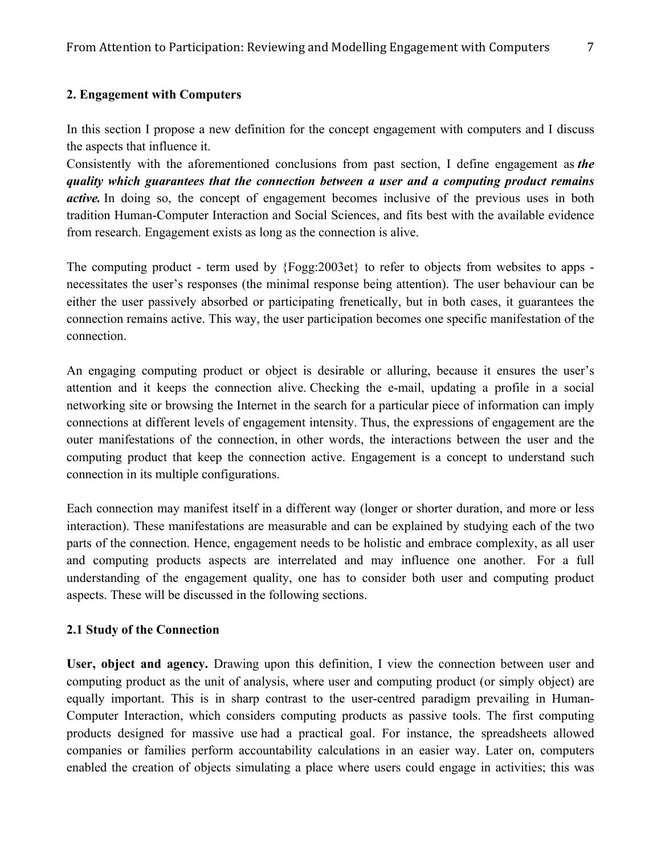## **2. Engagement with Computers**

In this section I propose a new definition for the concept engagement with computers and I discuss the aspects that influence it.

Consistently with the aforementioned conclusions from past section, I define engagement as *the quality which guarantees that the connection between a user and a computing product remains active.* In doing so, the concept of engagement becomes inclusive of the previous uses in both tradition Human-Computer Interaction and Social Sciences, and fits best with the available evidence from research. Engagement exists as long as the connection is alive.

The computing product - term used by {Fogg:2003et} to refer to objects from websites to apps necessitates the user's responses (the minimal response being attention). The user behaviour can be either the user passively absorbed or participating frenetically, but in both cases, it guarantees the connection remains active. This way, the user participation becomes one specific manifestation of the connection.

An engaging computing product or object is desirable or alluring, because it ensures the user's attention and it keeps the connection alive. Checking the e-mail, updating a profile in a social networking site or browsing the Internet in the search for a particular piece of information can imply connections at different levels of engagement intensity. Thus, the expressions of engagement are the outer manifestations of the connection, in other words, the interactions between the user and the computing product that keep the connection active. Engagement is a concept to understand such connection in its multiple configurations.

Each connection may manifest itself in a different way (longer or shorter duration, and more or less interaction). These manifestations are measurable and can be explained by studying each of the two parts of the connection. Hence, engagement needs to be holistic and embrace complexity, as all user and computing products aspects are interrelated and may influence one another. For a full understanding of the engagement quality, one has to consider both user and computing product aspects. These will be discussed in the following sections.

## **2.1 Study of the Connection**

**User, object and agency.** Drawing upon this definition, I view the connection between user and computing product as the unit of analysis, where user and computing product (or simply object) are equally important. This is in sharp contrast to the user-centred paradigm prevailing in Human-Computer Interaction, which considers computing products as passive tools. The first computing products designed for massive use had a practical goal. For instance, the spreadsheets allowed companies or families perform accountability calculations in an easier way. Later on, computers enabled the creation of objects simulating a place where users could engage in activities; this was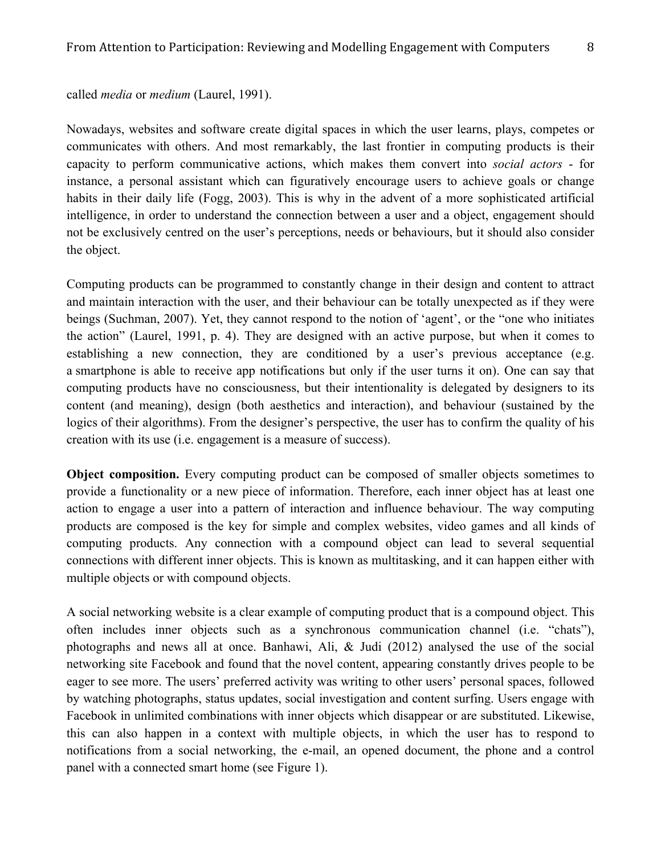## called *media* or *medium* (Laurel, 1991).

Nowadays, websites and software create digital spaces in which the user learns, plays, competes or communicates with others. And most remarkably, the last frontier in computing products is their capacity to perform communicative actions, which makes them convert into *social actors* - for instance, a personal assistant which can figuratively encourage users to achieve goals or change habits in their daily life (Fogg, 2003). This is why in the advent of a more sophisticated artificial intelligence, in order to understand the connection between a user and a object, engagement should not be exclusively centred on the user's perceptions, needs or behaviours, but it should also consider the object.

Computing products can be programmed to constantly change in their design and content to attract and maintain interaction with the user, and their behaviour can be totally unexpected as if they were beings (Suchman, 2007). Yet, they cannot respond to the notion of 'agent', or the "one who initiates the action" (Laurel, 1991, p. 4). They are designed with an active purpose, but when it comes to establishing a new connection, they are conditioned by a user's previous acceptance (e.g. a smartphone is able to receive app notifications but only if the user turns it on). One can say that computing products have no consciousness, but their intentionality is delegated by designers to its content (and meaning), design (both aesthetics and interaction), and behaviour (sustained by the logics of their algorithms). From the designer's perspective, the user has to confirm the quality of his creation with its use (i.e. engagement is a measure of success).

**Object composition.** Every computing product can be composed of smaller objects sometimes to provide a functionality or a new piece of information. Therefore, each inner object has at least one action to engage a user into a pattern of interaction and influence behaviour. The way computing products are composed is the key for simple and complex websites, video games and all kinds of computing products. Any connection with a compound object can lead to several sequential connections with different inner objects. This is known as multitasking, and it can happen either with multiple objects or with compound objects.

A social networking website is a clear example of computing product that is a compound object. This often includes inner objects such as a synchronous communication channel (i.e. "chats"), photographs and news all at once. Banhawi, Ali, & Judi (2012) analysed the use of the social networking site Facebook and found that the novel content, appearing constantly drives people to be eager to see more. The users' preferred activity was writing to other users' personal spaces, followed by watching photographs, status updates, social investigation and content surfing. Users engage with Facebook in unlimited combinations with inner objects which disappear or are substituted. Likewise, this can also happen in a context with multiple objects, in which the user has to respond to notifications from a social networking, the e-mail, an opened document, the phone and a control panel with a connected smart home (see Figure 1).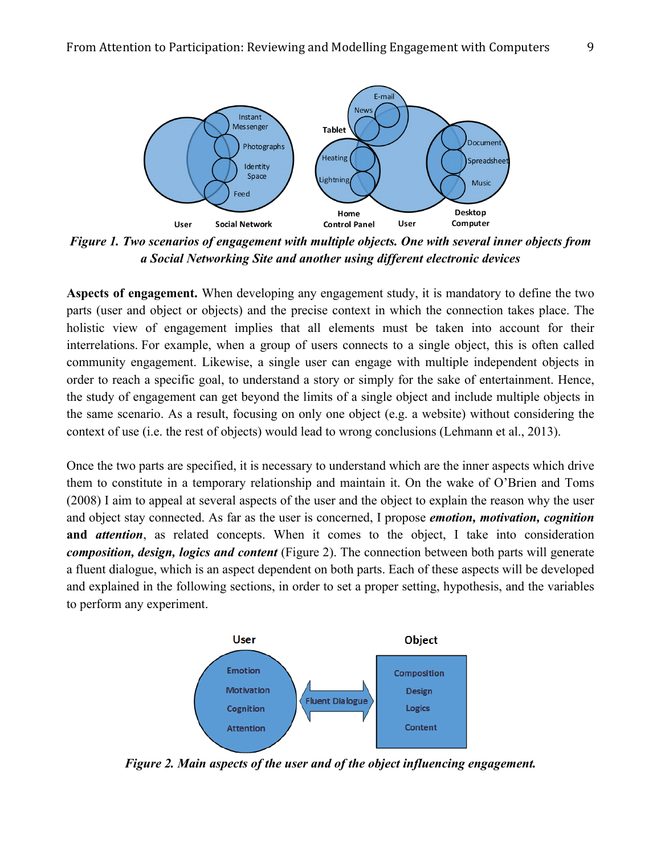

*Figure 1. Two scenarios of engagement with multiple objects. One with several inner objects from a Social Networking Site and another using different electronic devices*

**Aspects of engagement.** When developing any engagement study, it is mandatory to define the two parts (user and object or objects) and the precise context in which the connection takes place. The holistic view of engagement implies that all elements must be taken into account for their interrelations. For example, when a group of users connects to a single object, this is often called community engagement. Likewise, a single user can engage with multiple independent objects in order to reach a specific goal, to understand a story or simply for the sake of entertainment. Hence, the study of engagement can get beyond the limits of a single object and include multiple objects in the same scenario. As a result, focusing on only one object (e.g. a website) without considering the context of use (i.e. the rest of objects) would lead to wrong conclusions (Lehmann et al., 2013).

Once the two parts are specified, it is necessary to understand which are the inner aspects which drive them to constitute in a temporary relationship and maintain it. On the wake of O'Brien and Toms (2008) I aim to appeal at several aspects of the user and the object to explain the reason why the user and object stay connected. As far as the user is concerned, I propose *emotion, motivation, cognition*  **and** *attention*, as related concepts. When it comes to the object, I take into consideration *composition, design, logics and content* (Figure 2). The connection between both parts will generate a fluent dialogue, which is an aspect dependent on both parts. Each of these aspects will be developed and explained in the following sections, in order to set a proper setting, hypothesis, and the variables to perform any experiment.



*Figure 2. Main aspects of the user and of the object influencing engagement.*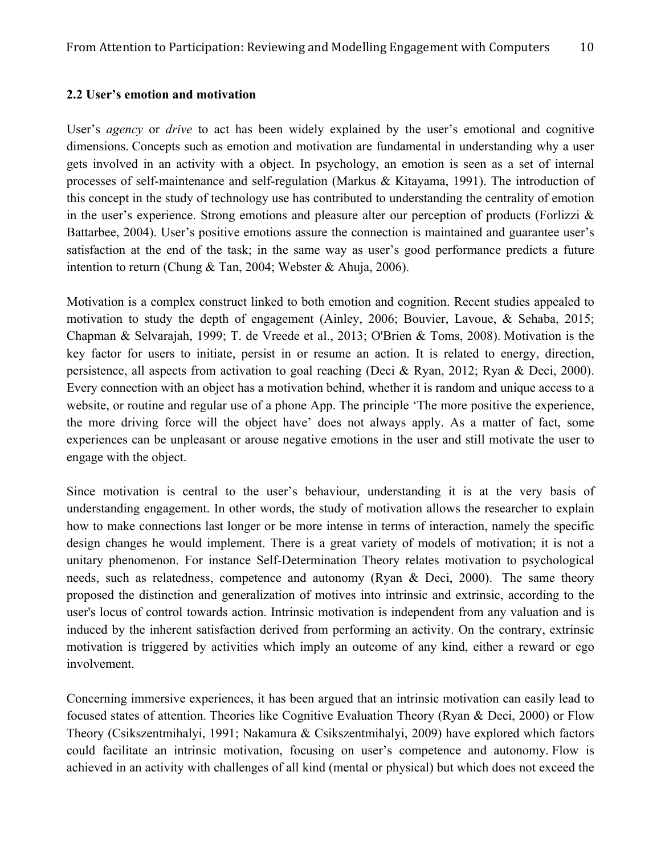#### **2.2 User's emotion and motivation**

User's *agency* or *drive* to act has been widely explained by the user's emotional and cognitive dimensions. Concepts such as emotion and motivation are fundamental in understanding why a user gets involved in an activity with a object. In psychology, an emotion is seen as a set of internal processes of self-maintenance and self-regulation (Markus & Kitayama, 1991). The introduction of this concept in the study of technology use has contributed to understanding the centrality of emotion in the user's experience. Strong emotions and pleasure alter our perception of products (Forlizzi  $\&$ Battarbee, 2004). User's positive emotions assure the connection is maintained and guarantee user's satisfaction at the end of the task; in the same way as user's good performance predicts a future intention to return (Chung & Tan, 2004; Webster & Ahuja, 2006).

Motivation is a complex construct linked to both emotion and cognition. Recent studies appealed to motivation to study the depth of engagement (Ainley, 2006; Bouvier, Lavoue, & Sehaba, 2015; Chapman & Selvarajah, 1999; T. de Vreede et al., 2013; O'Brien & Toms, 2008). Motivation is the key factor for users to initiate, persist in or resume an action. It is related to energy, direction, persistence, all aspects from activation to goal reaching (Deci & Ryan, 2012; Ryan & Deci, 2000). Every connection with an object has a motivation behind, whether it is random and unique access to a website, or routine and regular use of a phone App. The principle 'The more positive the experience, the more driving force will the object have' does not always apply. As a matter of fact, some experiences can be unpleasant or arouse negative emotions in the user and still motivate the user to engage with the object.

Since motivation is central to the user's behaviour, understanding it is at the very basis of understanding engagement. In other words, the study of motivation allows the researcher to explain how to make connections last longer or be more intense in terms of interaction, namely the specific design changes he would implement. There is a great variety of models of motivation; it is not a unitary phenomenon. For instance Self-Determination Theory relates motivation to psychological needs, such as relatedness, competence and autonomy (Ryan & Deci, 2000). The same theory proposed the distinction and generalization of motives into intrinsic and extrinsic, according to the user's locus of control towards action. Intrinsic motivation is independent from any valuation and is induced by the inherent satisfaction derived from performing an activity. On the contrary, extrinsic motivation is triggered by activities which imply an outcome of any kind, either a reward or ego involvement.

Concerning immersive experiences, it has been argued that an intrinsic motivation can easily lead to focused states of attention. Theories like Cognitive Evaluation Theory (Ryan & Deci, 2000) or Flow Theory (Csikszentmihalyi, 1991; Nakamura & Csikszentmihalyi, 2009) have explored which factors could facilitate an intrinsic motivation, focusing on user's competence and autonomy. Flow is achieved in an activity with challenges of all kind (mental or physical) but which does not exceed the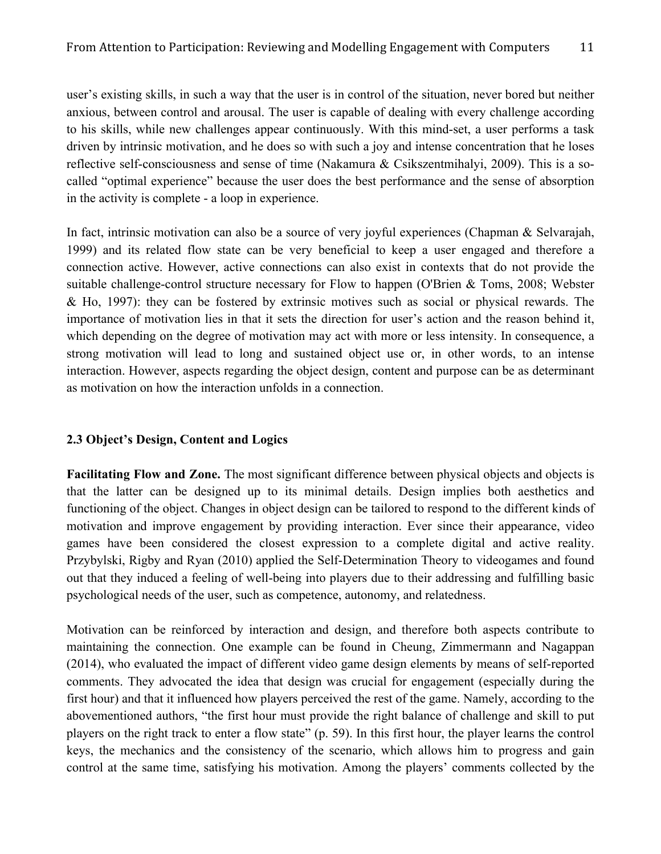user's existing skills, in such a way that the user is in control of the situation, never bored but neither anxious, between control and arousal. The user is capable of dealing with every challenge according to his skills, while new challenges appear continuously. With this mind-set, a user performs a task driven by intrinsic motivation, and he does so with such a joy and intense concentration that he loses reflective self-consciousness and sense of time (Nakamura  $\&$  Csikszentmihalyi, 2009). This is a socalled "optimal experience" because the user does the best performance and the sense of absorption in the activity is complete - a loop in experience.

In fact, intrinsic motivation can also be a source of very joyful experiences (Chapman & Selvarajah, 1999) and its related flow state can be very beneficial to keep a user engaged and therefore a connection active. However, active connections can also exist in contexts that do not provide the suitable challenge-control structure necessary for Flow to happen (O'Brien & Toms, 2008; Webster & Ho, 1997): they can be fostered by extrinsic motives such as social or physical rewards. The importance of motivation lies in that it sets the direction for user's action and the reason behind it, which depending on the degree of motivation may act with more or less intensity. In consequence, a strong motivation will lead to long and sustained object use or, in other words, to an intense interaction. However, aspects regarding the object design, content and purpose can be as determinant as motivation on how the interaction unfolds in a connection.

## **2.3 Object's Design, Content and Logics**

**Facilitating Flow and Zone.** The most significant difference between physical objects and objects is that the latter can be designed up to its minimal details. Design implies both aesthetics and functioning of the object. Changes in object design can be tailored to respond to the different kinds of motivation and improve engagement by providing interaction. Ever since their appearance, video games have been considered the closest expression to a complete digital and active reality. Przybylski, Rigby and Ryan (2010) applied the Self-Determination Theory to videogames and found out that they induced a feeling of well-being into players due to their addressing and fulfilling basic psychological needs of the user, such as competence, autonomy, and relatedness.

Motivation can be reinforced by interaction and design, and therefore both aspects contribute to maintaining the connection. One example can be found in Cheung, Zimmermann and Nagappan (2014), who evaluated the impact of different video game design elements by means of self-reported comments. They advocated the idea that design was crucial for engagement (especially during the first hour) and that it influenced how players perceived the rest of the game. Namely, according to the abovementioned authors, "the first hour must provide the right balance of challenge and skill to put players on the right track to enter a flow state" (p. 59). In this first hour, the player learns the control keys, the mechanics and the consistency of the scenario, which allows him to progress and gain control at the same time, satisfying his motivation. Among the players' comments collected by the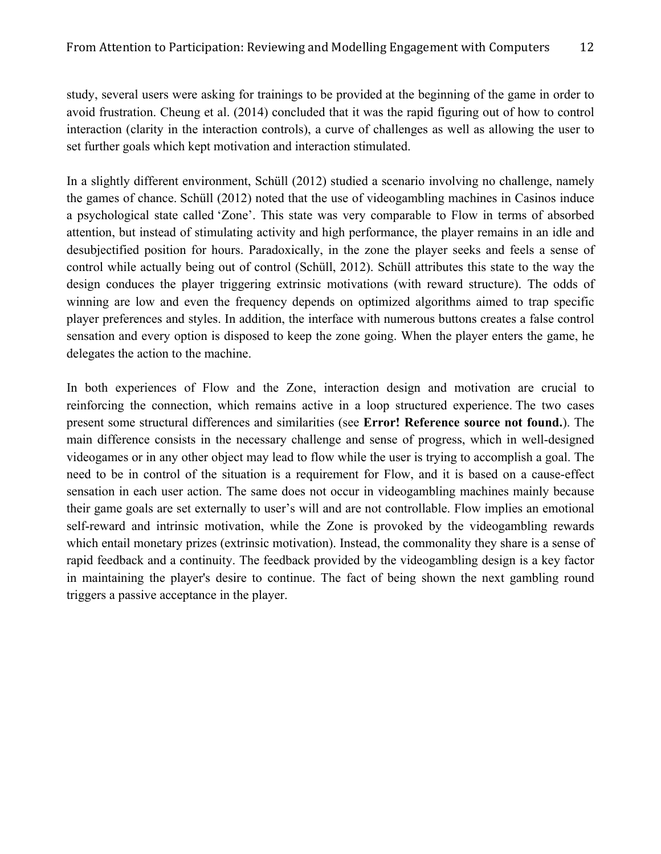study, several users were asking for trainings to be provided at the beginning of the game in order to avoid frustration. Cheung et al. (2014) concluded that it was the rapid figuring out of how to control interaction (clarity in the interaction controls), a curve of challenges as well as allowing the user to set further goals which kept motivation and interaction stimulated.

In a slightly different environment, Schüll (2012) studied a scenario involving no challenge, namely the games of chance. Schüll (2012) noted that the use of videogambling machines in Casinos induce a psychological state called 'Zone'. This state was very comparable to Flow in terms of absorbed attention, but instead of stimulating activity and high performance, the player remains in an idle and desubjectified position for hours. Paradoxically, in the zone the player seeks and feels a sense of control while actually being out of control (Schüll, 2012). Schüll attributes this state to the way the design conduces the player triggering extrinsic motivations (with reward structure). The odds of winning are low and even the frequency depends on optimized algorithms aimed to trap specific player preferences and styles. In addition, the interface with numerous buttons creates a false control sensation and every option is disposed to keep the zone going. When the player enters the game, he delegates the action to the machine.

In both experiences of Flow and the Zone, interaction design and motivation are crucial to reinforcing the connection, which remains active in a loop structured experience. The two cases present some structural differences and similarities (see **Error! Reference source not found.**). The main difference consists in the necessary challenge and sense of progress, which in well-designed videogames or in any other object may lead to flow while the user is trying to accomplish a goal. The need to be in control of the situation is a requirement for Flow, and it is based on a cause-effect sensation in each user action. The same does not occur in videogambling machines mainly because their game goals are set externally to user's will and are not controllable. Flow implies an emotional self-reward and intrinsic motivation, while the Zone is provoked by the videogambling rewards which entail monetary prizes (extrinsic motivation). Instead, the commonality they share is a sense of rapid feedback and a continuity. The feedback provided by the videogambling design is a key factor in maintaining the player's desire to continue. The fact of being shown the next gambling round triggers a passive acceptance in the player.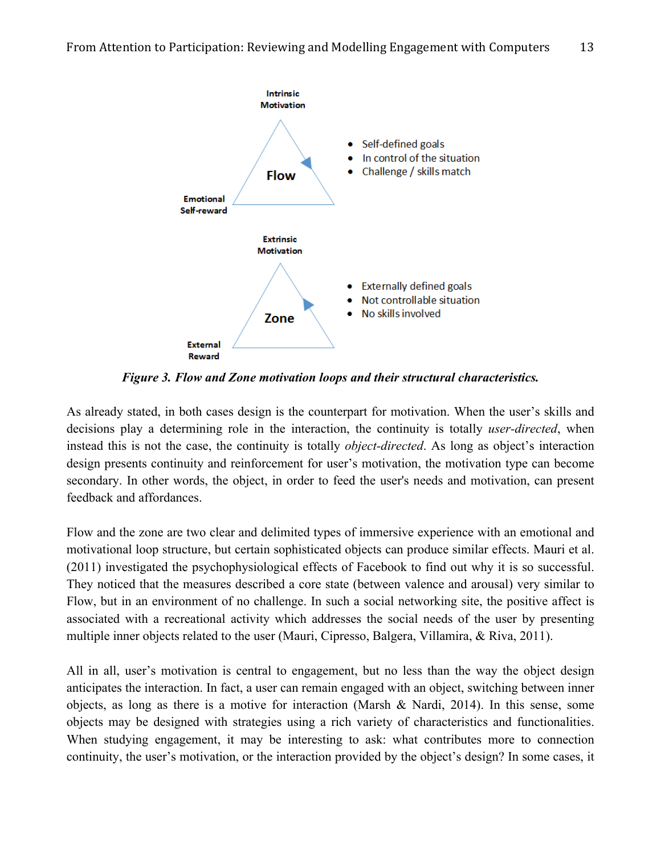

*Figure 3. Flow and Zone motivation loops and their structural characteristics.*

As already stated, in both cases design is the counterpart for motivation. When the user's skills and decisions play a determining role in the interaction, the continuity is totally *user-directed*, when instead this is not the case, the continuity is totally *object-directed*. As long as object's interaction design presents continuity and reinforcement for user's motivation, the motivation type can become secondary. In other words, the object, in order to feed the user's needs and motivation, can present feedback and affordances.

Flow and the zone are two clear and delimited types of immersive experience with an emotional and motivational loop structure, but certain sophisticated objects can produce similar effects. Mauri et al. (2011) investigated the psychophysiological effects of Facebook to find out why it is so successful. They noticed that the measures described a core state (between valence and arousal) very similar to Flow, but in an environment of no challenge. In such a social networking site, the positive affect is associated with a recreational activity which addresses the social needs of the user by presenting multiple inner objects related to the user (Mauri, Cipresso, Balgera, Villamira, & Riva, 2011).

All in all, user's motivation is central to engagement, but no less than the way the object design anticipates the interaction. In fact, a user can remain engaged with an object, switching between inner objects, as long as there is a motive for interaction (Marsh & Nardi, 2014). In this sense, some objects may be designed with strategies using a rich variety of characteristics and functionalities. When studying engagement, it may be interesting to ask: what contributes more to connection continuity, the user's motivation, or the interaction provided by the object's design? In some cases, it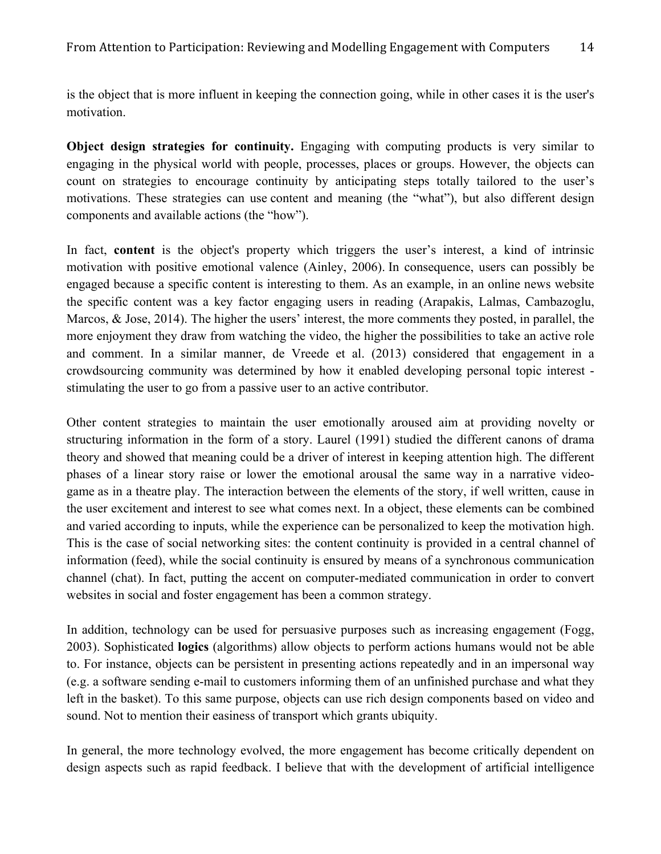is the object that is more influent in keeping the connection going, while in other cases it is the user's motivation.

**Object design strategies for continuity.** Engaging with computing products is very similar to engaging in the physical world with people, processes, places or groups. However, the objects can count on strategies to encourage continuity by anticipating steps totally tailored to the user's motivations. These strategies can use content and meaning (the "what"), but also different design components and available actions (the "how").

In fact, **content** is the object's property which triggers the user's interest, a kind of intrinsic motivation with positive emotional valence (Ainley, 2006). In consequence, users can possibly be engaged because a specific content is interesting to them. As an example, in an online news website the specific content was a key factor engaging users in reading (Arapakis, Lalmas, Cambazoglu, Marcos, & Jose, 2014). The higher the users' interest, the more comments they posted, in parallel, the more enjoyment they draw from watching the video, the higher the possibilities to take an active role and comment. In a similar manner, de Vreede et al. (2013) considered that engagement in a crowdsourcing community was determined by how it enabled developing personal topic interest stimulating the user to go from a passive user to an active contributor.

Other content strategies to maintain the user emotionally aroused aim at providing novelty or structuring information in the form of a story. Laurel (1991) studied the different canons of drama theory and showed that meaning could be a driver of interest in keeping attention high. The different phases of a linear story raise or lower the emotional arousal the same way in a narrative videogame as in a theatre play. The interaction between the elements of the story, if well written, cause in the user excitement and interest to see what comes next. In a object, these elements can be combined and varied according to inputs, while the experience can be personalized to keep the motivation high. This is the case of social networking sites: the content continuity is provided in a central channel of information (feed), while the social continuity is ensured by means of a synchronous communication channel (chat). In fact, putting the accent on computer-mediated communication in order to convert websites in social and foster engagement has been a common strategy.

In addition, technology can be used for persuasive purposes such as increasing engagement (Fogg, 2003). Sophisticated **logics** (algorithms) allow objects to perform actions humans would not be able to. For instance, objects can be persistent in presenting actions repeatedly and in an impersonal way (e.g. a software sending e-mail to customers informing them of an unfinished purchase and what they left in the basket). To this same purpose, objects can use rich design components based on video and sound. Not to mention their easiness of transport which grants ubiquity.

In general, the more technology evolved, the more engagement has become critically dependent on design aspects such as rapid feedback. I believe that with the development of artificial intelligence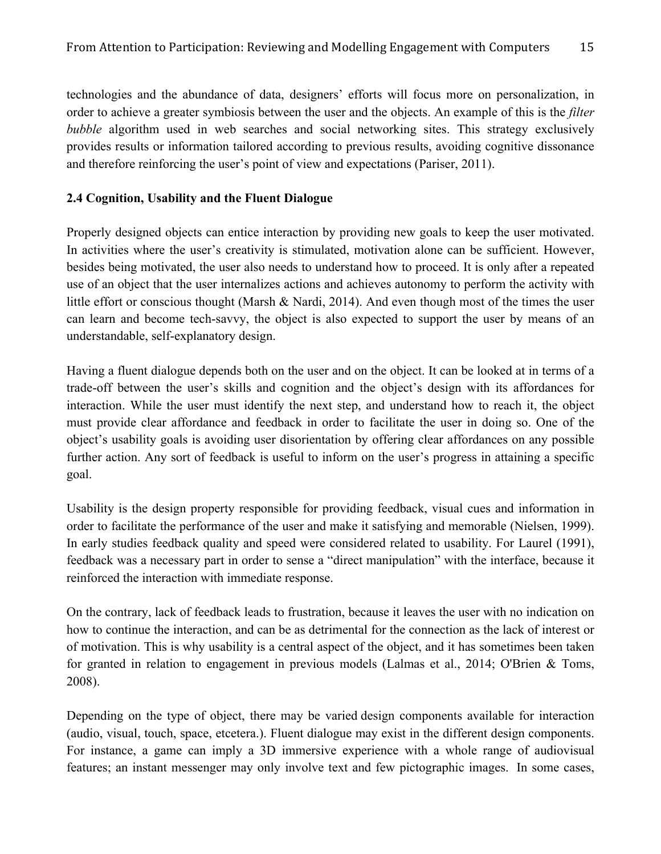technologies and the abundance of data, designers' efforts will focus more on personalization, in order to achieve a greater symbiosis between the user and the objects. An example of this is the *filter bubble* algorithm used in web searches and social networking sites. This strategy exclusively provides results or information tailored according to previous results, avoiding cognitive dissonance and therefore reinforcing the user's point of view and expectations (Pariser, 2011).

## **2.4 Cognition, Usability and the Fluent Dialogue**

Properly designed objects can entice interaction by providing new goals to keep the user motivated. In activities where the user's creativity is stimulated, motivation alone can be sufficient. However, besides being motivated, the user also needs to understand how to proceed. It is only after a repeated use of an object that the user internalizes actions and achieves autonomy to perform the activity with little effort or conscious thought (Marsh & Nardi, 2014). And even though most of the times the user can learn and become tech-savvy, the object is also expected to support the user by means of an understandable, self-explanatory design.

Having a fluent dialogue depends both on the user and on the object. It can be looked at in terms of a trade-off between the user's skills and cognition and the object's design with its affordances for interaction. While the user must identify the next step, and understand how to reach it, the object must provide clear affordance and feedback in order to facilitate the user in doing so. One of the object's usability goals is avoiding user disorientation by offering clear affordances on any possible further action. Any sort of feedback is useful to inform on the user's progress in attaining a specific goal.

Usability is the design property responsible for providing feedback, visual cues and information in order to facilitate the performance of the user and make it satisfying and memorable (Nielsen, 1999). In early studies feedback quality and speed were considered related to usability. For Laurel (1991), feedback was a necessary part in order to sense a "direct manipulation" with the interface, because it reinforced the interaction with immediate response.

On the contrary, lack of feedback leads to frustration, because it leaves the user with no indication on how to continue the interaction, and can be as detrimental for the connection as the lack of interest or of motivation. This is why usability is a central aspect of the object, and it has sometimes been taken for granted in relation to engagement in previous models (Lalmas et al., 2014; O'Brien & Toms, 2008).

Depending on the type of object, there may be varied design components available for interaction (audio, visual, touch, space, etcetera.). Fluent dialogue may exist in the different design components. For instance, a game can imply a 3D immersive experience with a whole range of audiovisual features; an instant messenger may only involve text and few pictographic images. In some cases,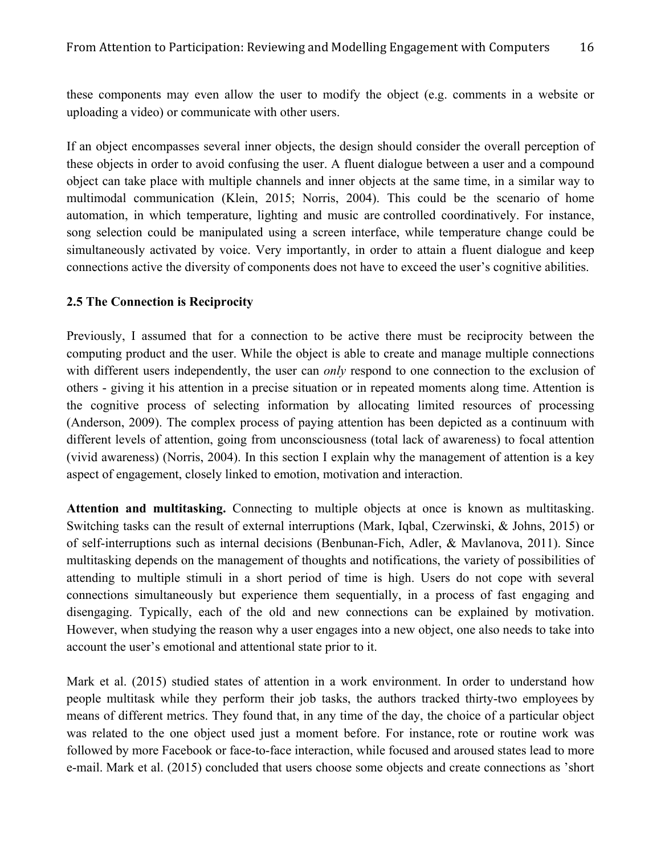these components may even allow the user to modify the object (e.g. comments in a website or uploading a video) or communicate with other users.

If an object encompasses several inner objects, the design should consider the overall perception of these objects in order to avoid confusing the user. A fluent dialogue between a user and a compound object can take place with multiple channels and inner objects at the same time, in a similar way to multimodal communication (Klein, 2015; Norris, 2004). This could be the scenario of home automation, in which temperature, lighting and music are controlled coordinatively. For instance, song selection could be manipulated using a screen interface, while temperature change could be simultaneously activated by voice. Very importantly, in order to attain a fluent dialogue and keep connections active the diversity of components does not have to exceed the user's cognitive abilities.

## **2.5 The Connection is Reciprocity**

Previously, I assumed that for a connection to be active there must be reciprocity between the computing product and the user. While the object is able to create and manage multiple connections with different users independently, the user can *only* respond to one connection to the exclusion of others - giving it his attention in a precise situation or in repeated moments along time. Attention is the cognitive process of selecting information by allocating limited resources of processing (Anderson, 2009). The complex process of paying attention has been depicted as a continuum with different levels of attention, going from unconsciousness (total lack of awareness) to focal attention (vivid awareness) (Norris, 2004). In this section I explain why the management of attention is a key aspect of engagement, closely linked to emotion, motivation and interaction.

Attention and multitasking. Connecting to multiple objects at once is known as multitasking. Switching tasks can the result of external interruptions (Mark, Iqbal, Czerwinski, & Johns, 2015) or of self-interruptions such as internal decisions (Benbunan-Fich, Adler, & Mavlanova, 2011). Since multitasking depends on the management of thoughts and notifications, the variety of possibilities of attending to multiple stimuli in a short period of time is high. Users do not cope with several connections simultaneously but experience them sequentially, in a process of fast engaging and disengaging. Typically, each of the old and new connections can be explained by motivation. However, when studying the reason why a user engages into a new object, one also needs to take into account the user's emotional and attentional state prior to it.

Mark et al. (2015) studied states of attention in a work environment. In order to understand how people multitask while they perform their job tasks, the authors tracked thirty-two employees by means of different metrics. They found that, in any time of the day, the choice of a particular object was related to the one object used just a moment before. For instance, rote or routine work was followed by more Facebook or face-to-face interaction, while focused and aroused states lead to more e-mail. Mark et al. (2015) concluded that users choose some objects and create connections as 'short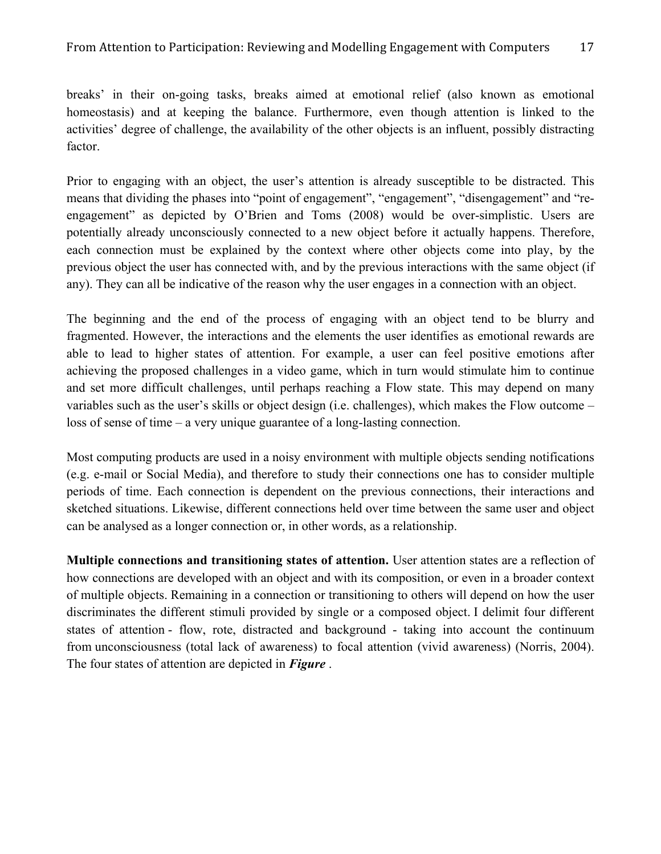breaks' in their on-going tasks, breaks aimed at emotional relief (also known as emotional homeostasis) and at keeping the balance. Furthermore, even though attention is linked to the activities' degree of challenge, the availability of the other objects is an influent, possibly distracting factor.

Prior to engaging with an object, the user's attention is already susceptible to be distracted. This means that dividing the phases into "point of engagement", "engagement", "disengagement" and "reengagement" as depicted by O'Brien and Toms (2008) would be over-simplistic. Users are potentially already unconsciously connected to a new object before it actually happens. Therefore, each connection must be explained by the context where other objects come into play, by the previous object the user has connected with, and by the previous interactions with the same object (if any). They can all be indicative of the reason why the user engages in a connection with an object.

The beginning and the end of the process of engaging with an object tend to be blurry and fragmented. However, the interactions and the elements the user identifies as emotional rewards are able to lead to higher states of attention. For example, a user can feel positive emotions after achieving the proposed challenges in a video game, which in turn would stimulate him to continue and set more difficult challenges, until perhaps reaching a Flow state. This may depend on many variables such as the user's skills or object design (i.e. challenges), which makes the Flow outcome – loss of sense of time – a very unique guarantee of a long-lasting connection.

Most computing products are used in a noisy environment with multiple objects sending notifications (e.g. e-mail or Social Media), and therefore to study their connections one has to consider multiple periods of time. Each connection is dependent on the previous connections, their interactions and sketched situations. Likewise, different connections held over time between the same user and object can be analysed as a longer connection or, in other words, as a relationship.

**Multiple connections and transitioning states of attention.** User attention states are a reflection of how connections are developed with an object and with its composition, or even in a broader context of multiple objects. Remaining in a connection or transitioning to others will depend on how the user discriminates the different stimuli provided by single or a composed object. I delimit four different states of attention - flow, rote, distracted and background - taking into account the continuum from unconsciousness (total lack of awareness) to focal attention (vivid awareness) (Norris, 2004). The four states of attention are depicted in *Figure* .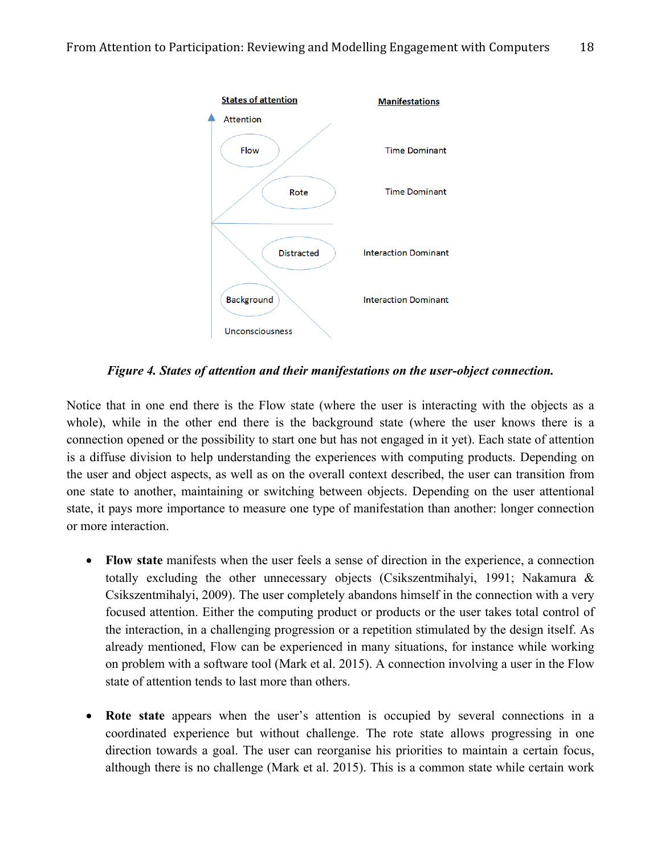

*Figure 4. States of attention and their manifestations on the user-object connection.*

Notice that in one end there is the Flow state (where the user is interacting with the objects as a whole), while in the other end there is the background state (where the user knows there is a connection opened or the possibility to start one but has not engaged in it yet). Each state of attention is a diffuse division to help understanding the experiences with computing products. Depending on the user and object aspects, as well as on the overall context described, the user can transition from one state to another, maintaining or switching between objects. Depending on the user attentional state, it pays more importance to measure one type of manifestation than another: longer connection or more interaction.

- **Flow state** manifests when the user feels a sense of direction in the experience, a connection totally excluding the other unnecessary objects (Csikszentmihalyi, 1991; Nakamura & Csikszentmihalyi, 2009). The user completely abandons himself in the connection with a very focused attention. Either the computing product or products or the user takes total control of the interaction, in a challenging progression or a repetition stimulated by the design itself. As already mentioned, Flow can be experienced in many situations, for instance while working on problem with a software tool (Mark et al. 2015). A connection involving a user in the Flow state of attention tends to last more than others.
- **Rote state** appears when the user's attention is occupied by several connections in a coordinated experience but without challenge. The rote state allows progressing in one direction towards a goal. The user can reorganise his priorities to maintain a certain focus, although there is no challenge (Mark et al. 2015). This is a common state while certain work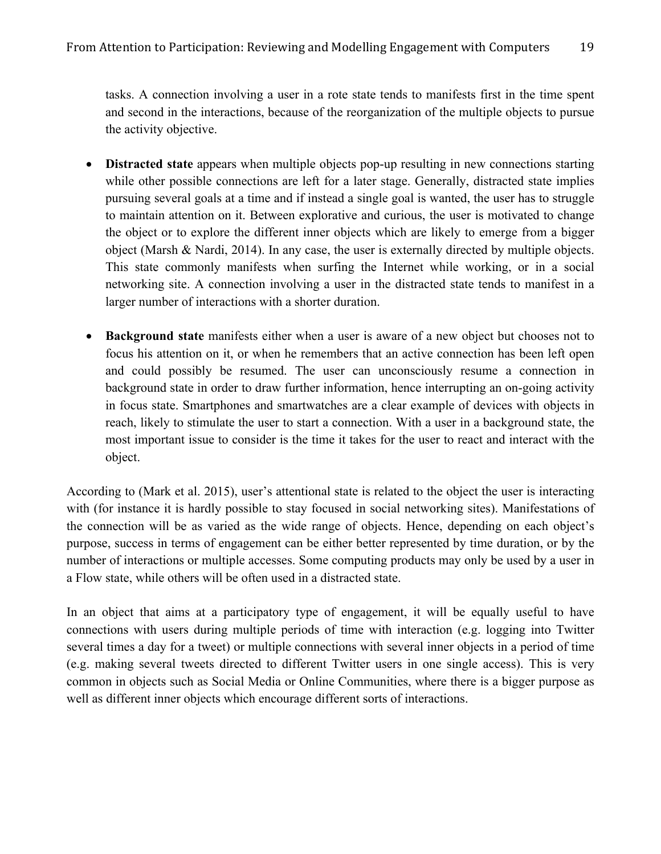tasks. A connection involving a user in a rote state tends to manifests first in the time spent and second in the interactions, because of the reorganization of the multiple objects to pursue the activity objective.

- **Distracted state** appears when multiple objects pop-up resulting in new connections starting while other possible connections are left for a later stage. Generally, distracted state implies pursuing several goals at a time and if instead a single goal is wanted, the user has to struggle to maintain attention on it. Between explorative and curious, the user is motivated to change the object or to explore the different inner objects which are likely to emerge from a bigger object (Marsh & Nardi, 2014). In any case, the user is externally directed by multiple objects. This state commonly manifests when surfing the Internet while working, or in a social networking site. A connection involving a user in the distracted state tends to manifest in a larger number of interactions with a shorter duration.
- **Background state** manifests either when a user is aware of a new object but chooses not to focus his attention on it, or when he remembers that an active connection has been left open and could possibly be resumed. The user can unconsciously resume a connection in background state in order to draw further information, hence interrupting an on-going activity in focus state. Smartphones and smartwatches are a clear example of devices with objects in reach, likely to stimulate the user to start a connection. With a user in a background state, the most important issue to consider is the time it takes for the user to react and interact with the object.

According to (Mark et al. 2015), user's attentional state is related to the object the user is interacting with (for instance it is hardly possible to stay focused in social networking sites). Manifestations of the connection will be as varied as the wide range of objects. Hence, depending on each object's purpose, success in terms of engagement can be either better represented by time duration, or by the number of interactions or multiple accesses. Some computing products may only be used by a user in a Flow state, while others will be often used in a distracted state.

In an object that aims at a participatory type of engagement, it will be equally useful to have connections with users during multiple periods of time with interaction (e.g. logging into Twitter several times a day for a tweet) or multiple connections with several inner objects in a period of time (e.g. making several tweets directed to different Twitter users in one single access). This is very common in objects such as Social Media or Online Communities, where there is a bigger purpose as well as different inner objects which encourage different sorts of interactions.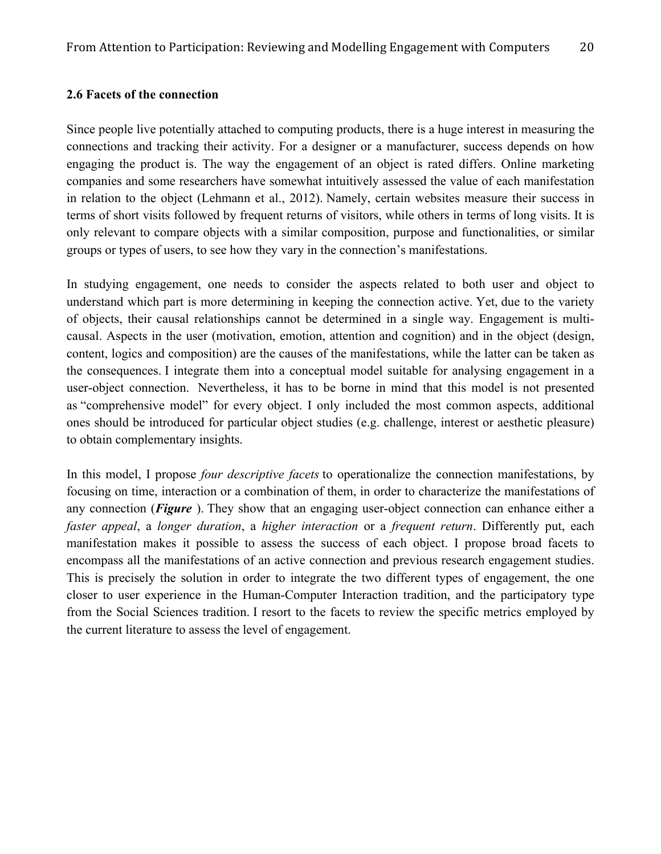#### **2.6 Facets of the connection**

Since people live potentially attached to computing products, there is a huge interest in measuring the connections and tracking their activity. For a designer or a manufacturer, success depends on how engaging the product is. The way the engagement of an object is rated differs. Online marketing companies and some researchers have somewhat intuitively assessed the value of each manifestation in relation to the object (Lehmann et al., 2012). Namely, certain websites measure their success in terms of short visits followed by frequent returns of visitors, while others in terms of long visits. It is only relevant to compare objects with a similar composition, purpose and functionalities, or similar groups or types of users, to see how they vary in the connection's manifestations.

In studying engagement, one needs to consider the aspects related to both user and object to understand which part is more determining in keeping the connection active. Yet, due to the variety of objects, their causal relationships cannot be determined in a single way. Engagement is multicausal. Aspects in the user (motivation, emotion, attention and cognition) and in the object (design, content, logics and composition) are the causes of the manifestations, while the latter can be taken as the consequences. I integrate them into a conceptual model suitable for analysing engagement in a user-object connection. Nevertheless, it has to be borne in mind that this model is not presented as "comprehensive model" for every object. I only included the most common aspects, additional ones should be introduced for particular object studies (e.g. challenge, interest or aesthetic pleasure) to obtain complementary insights.

In this model, I propose *four descriptive facets* to operationalize the connection manifestations, by focusing on time, interaction or a combination of them, in order to characterize the manifestations of any connection (*Figure* ). They show that an engaging user-object connection can enhance either a *faster appeal*, a *longer duration*, a *higher interaction* or a *frequent return*. Differently put, each manifestation makes it possible to assess the success of each object. I propose broad facets to encompass all the manifestations of an active connection and previous research engagement studies. This is precisely the solution in order to integrate the two different types of engagement, the one closer to user experience in the Human-Computer Interaction tradition, and the participatory type from the Social Sciences tradition. I resort to the facets to review the specific metrics employed by the current literature to assess the level of engagement.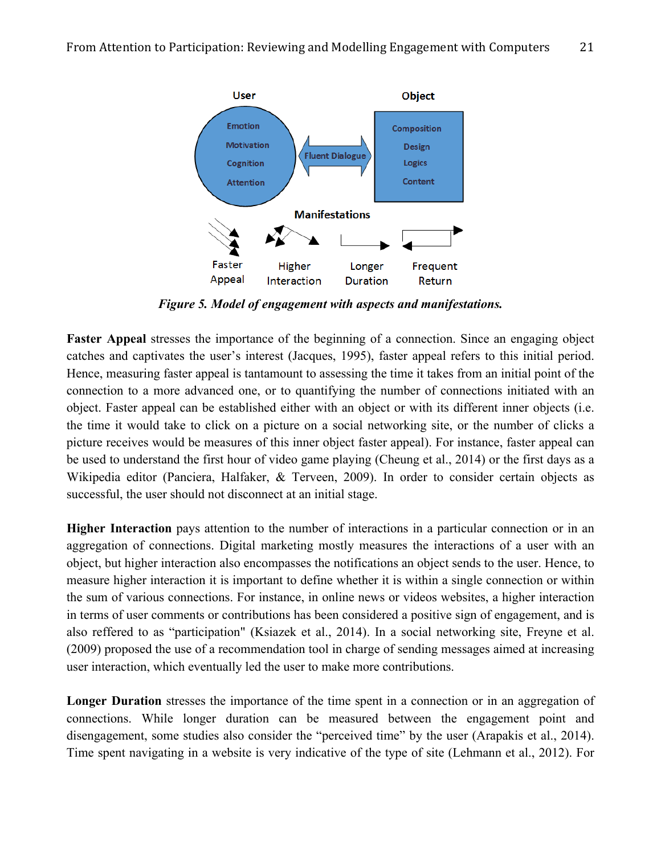

*Figure 5. Model of engagement with aspects and manifestations.*

**Faster Appeal** stresses the importance of the beginning of a connection. Since an engaging object catches and captivates the user's interest (Jacques, 1995), faster appeal refers to this initial period. Hence, measuring faster appeal is tantamount to assessing the time it takes from an initial point of the connection to a more advanced one, or to quantifying the number of connections initiated with an object. Faster appeal can be established either with an object or with its different inner objects (i.e. the time it would take to click on a picture on a social networking site, or the number of clicks a picture receives would be measures of this inner object faster appeal). For instance, faster appeal can be used to understand the first hour of video game playing (Cheung et al., 2014) or the first days as a Wikipedia editor (Panciera, Halfaker, & Terveen, 2009). In order to consider certain objects as successful, the user should not disconnect at an initial stage.

**Higher Interaction** pays attention to the number of interactions in a particular connection or in an aggregation of connections. Digital marketing mostly measures the interactions of a user with an object, but higher interaction also encompasses the notifications an object sends to the user. Hence, to measure higher interaction it is important to define whether it is within a single connection or within the sum of various connections. For instance, in online news or videos websites, a higher interaction in terms of user comments or contributions has been considered a positive sign of engagement, and is also reffered to as "participation" (Ksiazek et al., 2014). In a social networking site, Freyne et al. (2009) proposed the use of a recommendation tool in charge of sending messages aimed at increasing user interaction, which eventually led the user to make more contributions.

Longer Duration stresses the importance of the time spent in a connection or in an aggregation of connections. While longer duration can be measured between the engagement point and disengagement, some studies also consider the "perceived time" by the user (Arapakis et al., 2014). Time spent navigating in a website is very indicative of the type of site (Lehmann et al., 2012). For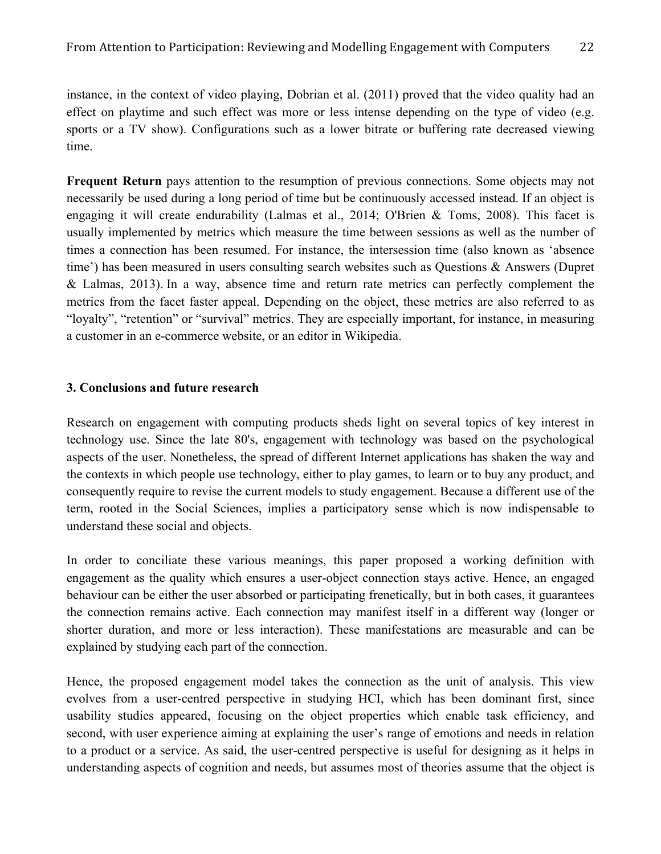instance, in the context of video playing, Dobrian et al. (2011) proved that the video quality had an effect on playtime and such effect was more or less intense depending on the type of video (e.g. sports or a TV show). Configurations such as a lower bitrate or buffering rate decreased viewing time.

**Frequent Return** pays attention to the resumption of previous connections. Some objects may not necessarily be used during a long period of time but be continuously accessed instead. If an object is engaging it will create endurability (Lalmas et al., 2014; O'Brien & Toms, 2008). This facet is usually implemented by metrics which measure the time between sessions as well as the number of times a connection has been resumed. For instance, the intersession time (also known as 'absence time') has been measured in users consulting search websites such as Questions & Answers (Dupret & Lalmas, 2013). In a way, absence time and return rate metrics can perfectly complement the metrics from the facet faster appeal. Depending on the object, these metrics are also referred to as "loyalty", "retention" or "survival" metrics. They are especially important, for instance, in measuring a customer in an e-commerce website, or an editor in Wikipedia.

#### **3. Conclusions and future research**

Research on engagement with computing products sheds light on several topics of key interest in technology use. Since the late 80's, engagement with technology was based on the psychological aspects of the user. Nonetheless, the spread of different Internet applications has shaken the way and the contexts in which people use technology, either to play games, to learn or to buy any product, and consequently require to revise the current models to study engagement. Because a different use of the term, rooted in the Social Sciences, implies a participatory sense which is now indispensable to understand these social and objects.

In order to conciliate these various meanings, this paper proposed a working definition with engagement as the quality which ensures a user-object connection stays active. Hence, an engaged behaviour can be either the user absorbed or participating frenetically, but in both cases, it guarantees the connection remains active. Each connection may manifest itself in a different way (longer or shorter duration, and more or less interaction). These manifestations are measurable and can be explained by studying each part of the connection.

Hence, the proposed engagement model takes the connection as the unit of analysis. This view evolves from a user-centred perspective in studying HCI, which has been dominant first, since usability studies appeared, focusing on the object properties which enable task efficiency, and second, with user experience aiming at explaining the user's range of emotions and needs in relation to a product or a service. As said, the user-centred perspective is useful for designing as it helps in understanding aspects of cognition and needs, but assumes most of theories assume that the object is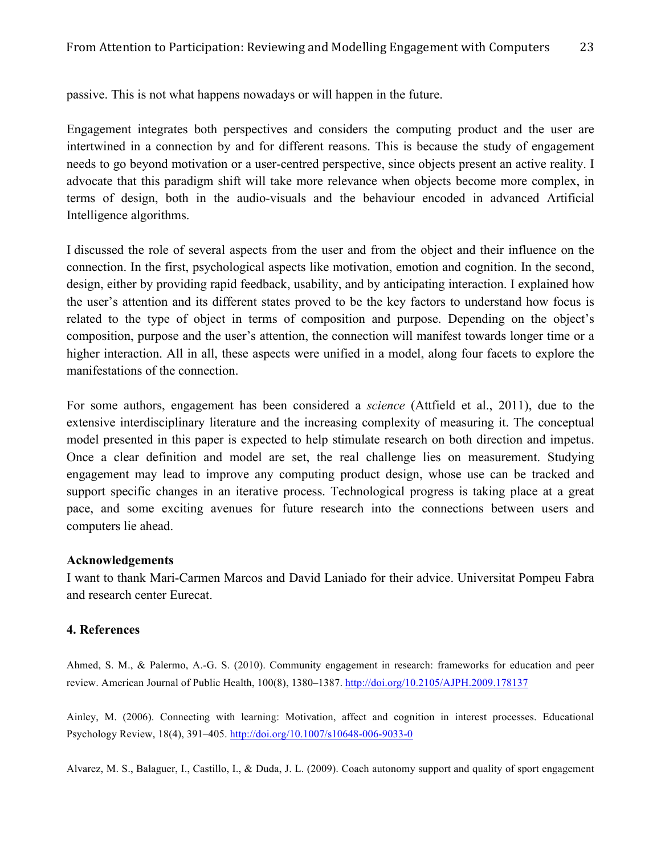passive. This is not what happens nowadays or will happen in the future.

Engagement integrates both perspectives and considers the computing product and the user are intertwined in a connection by and for different reasons. This is because the study of engagement needs to go beyond motivation or a user-centred perspective, since objects present an active reality. I advocate that this paradigm shift will take more relevance when objects become more complex, in terms of design, both in the audio-visuals and the behaviour encoded in advanced Artificial Intelligence algorithms.

I discussed the role of several aspects from the user and from the object and their influence on the connection. In the first, psychological aspects like motivation, emotion and cognition. In the second, design, either by providing rapid feedback, usability, and by anticipating interaction. I explained how the user's attention and its different states proved to be the key factors to understand how focus is related to the type of object in terms of composition and purpose. Depending on the object's composition, purpose and the user's attention, the connection will manifest towards longer time or a higher interaction. All in all, these aspects were unified in a model, along four facets to explore the manifestations of the connection.

For some authors, engagement has been considered a *science* (Attfield et al., 2011), due to the extensive interdisciplinary literature and the increasing complexity of measuring it. The conceptual model presented in this paper is expected to help stimulate research on both direction and impetus. Once a clear definition and model are set, the real challenge lies on measurement. Studying engagement may lead to improve any computing product design, whose use can be tracked and support specific changes in an iterative process. Technological progress is taking place at a great pace, and some exciting avenues for future research into the connections between users and computers lie ahead.

## **Acknowledgements**

I want to thank Mari-Carmen Marcos and David Laniado for their advice. Universitat Pompeu Fabra and research center Eurecat.

## **4. References**

Ahmed, S. M., & Palermo, A.-G. S. (2010). Community engagement in research: frameworks for education and peer review. American Journal of Public Health, 100(8), 1380–1387. http://doi.org/10.2105/AJPH.2009.178137

Ainley, M. (2006). Connecting with learning: Motivation, affect and cognition in interest processes. Educational Psychology Review, 18(4), 391–405. http://doi.org/10.1007/s10648-006-9033-0

Alvarez, M. S., Balaguer, I., Castillo, I., & Duda, J. L. (2009). Coach autonomy support and quality of sport engagement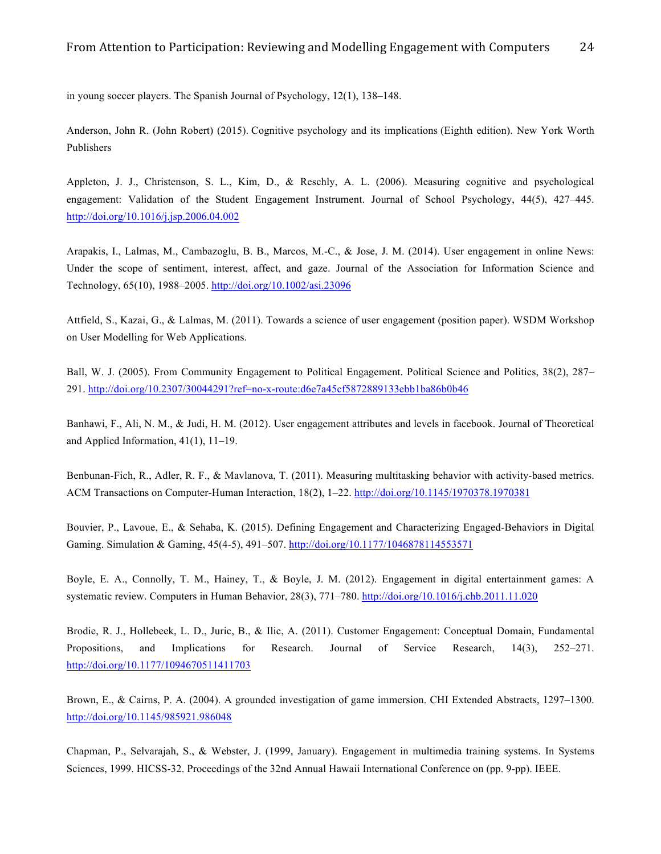in young soccer players. The Spanish Journal of Psychology, 12(1), 138–148.

Anderson, John R. (John Robert) (2015). Cognitive psychology and its implications (Eighth edition). New York Worth Publishers

Appleton, J. J., Christenson, S. L., Kim, D., & Reschly, A. L. (2006). Measuring cognitive and psychological engagement: Validation of the Student Engagement Instrument. Journal of School Psychology, 44(5), 427–445. http://doi.org/10.1016/j.jsp.2006.04.002

Arapakis, I., Lalmas, M., Cambazoglu, B. B., Marcos, M.-C., & Jose, J. M. (2014). User engagement in online News: Under the scope of sentiment, interest, affect, and gaze. Journal of the Association for Information Science and Technology, 65(10), 1988–2005. http://doi.org/10.1002/asi.23096

Attfield, S., Kazai, G., & Lalmas, M. (2011). Towards a science of user engagement (position paper). WSDM Workshop on User Modelling for Web Applications.

Ball, W. J. (2005). From Community Engagement to Political Engagement. Political Science and Politics, 38(2), 287– 291. http://doi.org/10.2307/30044291?ref=no-x-route:d6e7a45cf5872889133ebb1ba86b0b46

Banhawi, F., Ali, N. M., & Judi, H. M. (2012). User engagement attributes and levels in facebook. Journal of Theoretical and Applied Information, 41(1), 11–19.

Benbunan-Fich, R., Adler, R. F., & Mavlanova, T. (2011). Measuring multitasking behavior with activity-based metrics. ACM Transactions on Computer-Human Interaction, 18(2), 1–22. http://doi.org/10.1145/1970378.1970381

Bouvier, P., Lavoue, E., & Sehaba, K. (2015). Defining Engagement and Characterizing Engaged-Behaviors in Digital Gaming. Simulation & Gaming, 45(4-5), 491–507. http://doi.org/10.1177/1046878114553571

Boyle, E. A., Connolly, T. M., Hainey, T., & Boyle, J. M. (2012). Engagement in digital entertainment games: A systematic review. Computers in Human Behavior, 28(3), 771–780. http://doi.org/10.1016/j.chb.2011.11.020

Brodie, R. J., Hollebeek, L. D., Juric, B., & Ilic, A. (2011). Customer Engagement: Conceptual Domain, Fundamental Propositions, and Implications for Research. Journal of Service Research, 14(3), 252–271. http://doi.org/10.1177/1094670511411703

Brown, E., & Cairns, P. A. (2004). A grounded investigation of game immersion. CHI Extended Abstracts, 1297–1300. http://doi.org/10.1145/985921.986048

Chapman, P., Selvarajah, S., & Webster, J. (1999, January). Engagement in multimedia training systems. In Systems Sciences, 1999. HICSS-32. Proceedings of the 32nd Annual Hawaii International Conference on (pp. 9-pp). IEEE.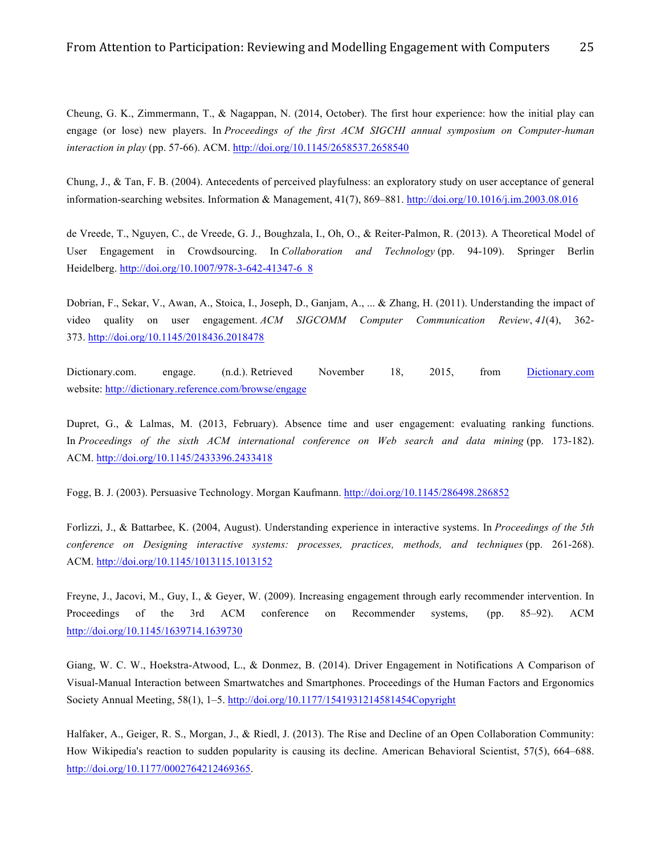Cheung, G. K., Zimmermann, T., & Nagappan, N. (2014, October). The first hour experience: how the initial play can engage (or lose) new players. In *Proceedings of the first ACM SIGCHI annual symposium on Computer-human interaction in play* (pp. 57-66). ACM. http://doi.org/10.1145/2658537.2658540

Chung, J., & Tan, F. B. (2004). Antecedents of perceived playfulness: an exploratory study on user acceptance of general information-searching websites. Information & Management, 41(7), 869–881. http://doi.org/10.1016/j.im.2003.08.016

de Vreede, T., Nguyen, C., de Vreede, G. J., Boughzala, I., Oh, O., & Reiter-Palmon, R. (2013). A Theoretical Model of User Engagement in Crowdsourcing. In *Collaboration and Technology* (pp. 94-109). Springer Berlin Heidelberg. http://doi.org/10.1007/978-3-642-41347-6\_8

Dobrian, F., Sekar, V., Awan, A., Stoica, I., Joseph, D., Ganjam, A., ... & Zhang, H. (2011). Understanding the impact of video quality on user engagement. *ACM SIGCOMM Computer Communication Review*, *41*(4), 362- 373. http://doi.org/10.1145/2018436.2018478

Dictionary.com. engage. (n.d.). Retrieved November 18, 2015, from Dictionary.com website: http://dictionary.reference.com/browse/engage

Dupret, G., & Lalmas, M. (2013, February). Absence time and user engagement: evaluating ranking functions. In *Proceedings of the sixth ACM international conference on Web search and data mining* (pp. 173-182). ACM. http://doi.org/10.1145/2433396.2433418

Fogg, B. J. (2003). Persuasive Technology. Morgan Kaufmann. http://doi.org/10.1145/286498.286852

Forlizzi, J., & Battarbee, K. (2004, August). Understanding experience in interactive systems. In *Proceedings of the 5th conference on Designing interactive systems: processes, practices, methods, and techniques* (pp. 261-268). ACM. http://doi.org/10.1145/1013115.1013152

Freyne, J., Jacovi, M., Guy, I., & Geyer, W. (2009). Increasing engagement through early recommender intervention. In Proceedings of the 3rd ACM conference on Recommender systems, (pp. 85–92). ACM http://doi.org/10.1145/1639714.1639730

Giang, W. C. W., Hoekstra-Atwood, L., & Donmez, B. (2014). Driver Engagement in Notifications A Comparison of Visual-Manual Interaction between Smartwatches and Smartphones. Proceedings of the Human Factors and Ergonomics Society Annual Meeting, 58(1), 1–5. http://doi.org/10.1177/1541931214581454Copyright

Halfaker, A., Geiger, R. S., Morgan, J., & Riedl, J. (2013). The Rise and Decline of an Open Collaboration Community: How Wikipedia's reaction to sudden popularity is causing its decline. American Behavioral Scientist, 57(5), 664–688. http://doi.org/10.1177/0002764212469365.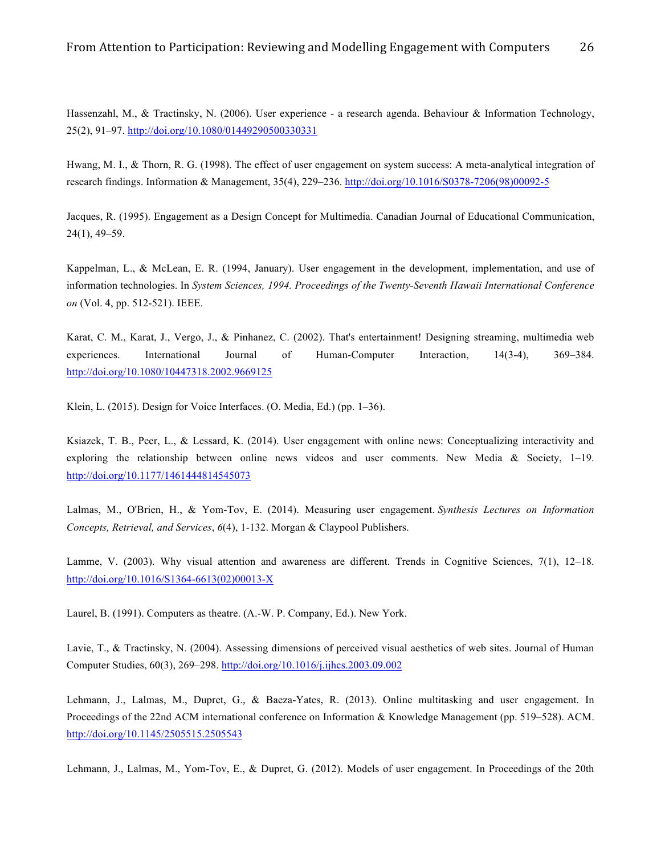Hassenzahl, M., & Tractinsky, N. (2006). User experience - a research agenda. Behaviour & Information Technology, 25(2), 91–97. http://doi.org/10.1080/01449290500330331

Hwang, M. I., & Thorn, R. G. (1998). The effect of user engagement on system success: A meta-analytical integration of research findings. Information & Management, 35(4), 229–236. http://doi.org/10.1016/S0378-7206(98)00092-5

Jacques, R. (1995). Engagement as a Design Concept for Multimedia. Canadian Journal of Educational Communication, 24(1), 49–59.

Kappelman, L., & McLean, E. R. (1994, January). User engagement in the development, implementation, and use of information technologies. In *System Sciences, 1994. Proceedings of the Twenty-Seventh Hawaii International Conference on* (Vol. 4, pp. 512-521). IEEE.

Karat, C. M., Karat, J., Vergo, J., & Pinhanez, C. (2002). That's entertainment! Designing streaming, multimedia web experiences. International Journal of Human-Computer Interaction, 14(3-4), 369–384. http://doi.org/10.1080/10447318.2002.9669125

Klein, L. (2015). Design for Voice Interfaces. (O. Media, Ed.) (pp. 1–36).

Ksiazek, T. B., Peer, L., & Lessard, K. (2014). User engagement with online news: Conceptualizing interactivity and exploring the relationship between online news videos and user comments. New Media & Society, 1–19. http://doi.org/10.1177/1461444814545073

Lalmas, M., O'Brien, H., & Yom-Tov, E. (2014). Measuring user engagement. *Synthesis Lectures on Information Concepts, Retrieval, and Services*, *6*(4), 1-132. Morgan & Claypool Publishers.

Lamme, V. (2003). Why visual attention and awareness are different. Trends in Cognitive Sciences, 7(1), 12–18. http://doi.org/10.1016/S1364-6613(02)00013-X

Laurel, B. (1991). Computers as theatre. (A.-W. P. Company, Ed.). New York.

Lavie, T., & Tractinsky, N. (2004). Assessing dimensions of perceived visual aesthetics of web sites. Journal of Human Computer Studies, 60(3), 269–298. http://doi.org/10.1016/j.ijhcs.2003.09.002

Lehmann, J., Lalmas, M., Dupret, G., & Baeza-Yates, R. (2013). Online multitasking and user engagement. In Proceedings of the 22nd ACM international conference on Information & Knowledge Management (pp. 519–528). ACM. http://doi.org/10.1145/2505515.2505543

Lehmann, J., Lalmas, M., Yom-Tov, E., & Dupret, G. (2012). Models of user engagement. In Proceedings of the 20th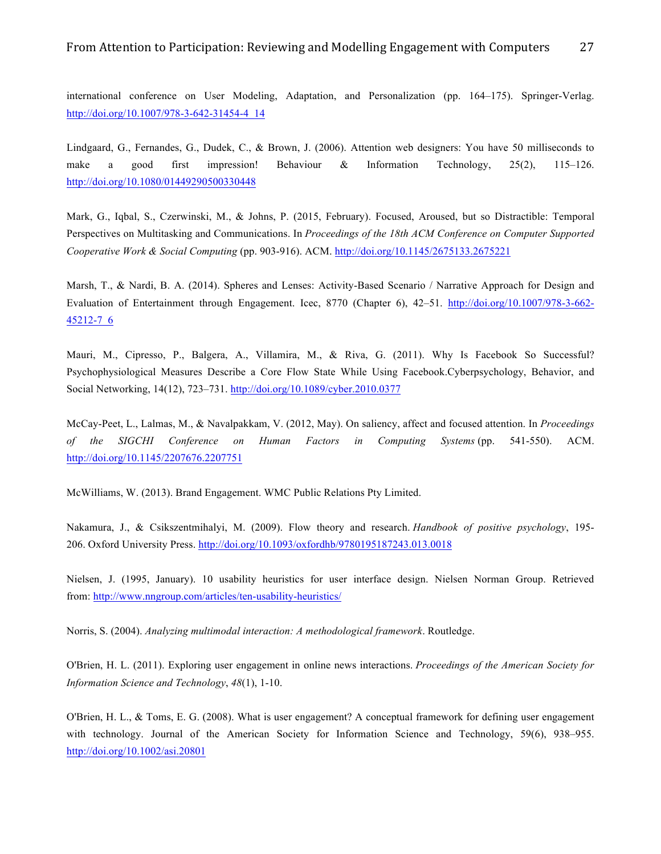international conference on User Modeling, Adaptation, and Personalization (pp. 164–175). Springer-Verlag. http://doi.org/10.1007/978-3-642-31454-4\_14

Lindgaard, G., Fernandes, G., Dudek, C., & Brown, J. (2006). Attention web designers: You have 50 milliseconds to make a good first impression! Behaviour & Information Technology, 25(2), 115–126. http://doi.org/10.1080/01449290500330448

Mark, G., Iqbal, S., Czerwinski, M., & Johns, P. (2015, February). Focused, Aroused, but so Distractible: Temporal Perspectives on Multitasking and Communications. In *Proceedings of the 18th ACM Conference on Computer Supported Cooperative Work & Social Computing* (pp. 903-916). ACM. http://doi.org/10.1145/2675133.2675221

Marsh, T., & Nardi, B. A. (2014). Spheres and Lenses: Activity-Based Scenario / Narrative Approach for Design and Evaluation of Entertainment through Engagement. Icec, 8770 (Chapter 6), 42–51. http://doi.org/10.1007/978-3-662- 45212-7\_6

Mauri, M., Cipresso, P., Balgera, A., Villamira, M., & Riva, G. (2011). Why Is Facebook So Successful? Psychophysiological Measures Describe a Core Flow State While Using Facebook.Cyberpsychology, Behavior, and Social Networking, 14(12), 723–731. http://doi.org/10.1089/cyber.2010.0377

McCay-Peet, L., Lalmas, M., & Navalpakkam, V. (2012, May). On saliency, affect and focused attention. In *Proceedings of the SIGCHI Conference on Human Factors in Computing Systems* (pp. 541-550). ACM. http://doi.org/10.1145/2207676.2207751

McWilliams, W. (2013). Brand Engagement. WMC Public Relations Pty Limited.

Nakamura, J., & Csikszentmihalyi, M. (2009). Flow theory and research. *Handbook of positive psychology*, 195- 206. Oxford University Press. http://doi.org/10.1093/oxfordhb/9780195187243.013.0018

Nielsen, J. (1995, January). 10 usability heuristics for user interface design. Nielsen Norman Group. Retrieved from: http://www.nngroup.com/articles/ten-usability-heuristics/

Norris, S. (2004). *Analyzing multimodal interaction: A methodological framework*. Routledge.

O'Brien, H. L. (2011). Exploring user engagement in online news interactions. *Proceedings of the American Society for Information Science and Technology*, *48*(1), 1-10.

O'Brien, H. L., & Toms, E. G. (2008). What is user engagement? A conceptual framework for defining user engagement with technology. Journal of the American Society for Information Science and Technology, 59(6), 938–955. http://doi.org/10.1002/asi.20801